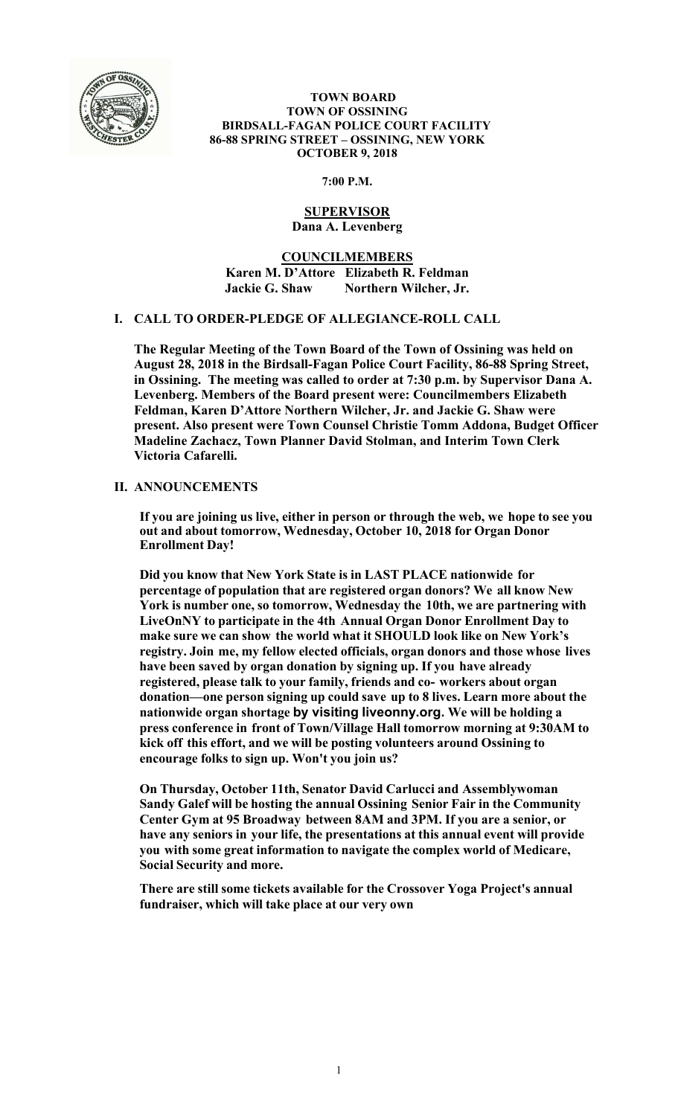

#### **TOWN BOARD TOWN OF OSSINING BIRDSALL-FAGAN POLICE COURT FACILITY 86-88 SPRING STREET – OSSINING, NEW YORK OCTOBER 9, 2018**

#### **7:00 P.M.**

#### **SUPERVISOR Dana A. Levenberg**

**COUNCILMEMBERS Karen M. D'Attore Elizabeth R. Feldman Jackie G. Shaw Northern Wilcher, Jr.** 

# **I. CALL TO ORDER-PLEDGE OF ALLEGIANCE-ROLL CALL**

**The Regular Meeting of the Town Board of the Town of Ossining was held on August 28, 2018 in the Birdsall-Fagan Police Court Facility, 86-88 Spring Street, in Ossining. The meeting was called to order at 7:30 p.m. by Supervisor Dana A. Levenberg. Members of the Board present were: Councilmembers Elizabeth Feldman, Karen D'Attore Northern Wilcher, Jr. and Jackie G. Shaw were present. Also present were Town Counsel Christie Tomm Addona, Budget Officer Madeline Zachacz, Town Planner David Stolman, and Interim Town Clerk Victoria Cafarelli.** 

# **II. ANNOUNCEMENTS**

**If you are joining us live, either in person or through the web, we hope to see you out and about tomorrow, Wednesday, October 10, 2018 for Organ Donor Enrollment Day!** 

**Did you know that New York State is in LAST PLACE nationwide for percentage of population that are registered organ donors? We all know New York is number one, so tomorrow, Wednesday the 10th, we are partnering with LiveOnNY to participate in the 4th Annual Organ Donor Enrollment Day to make sure we can show the world what it SHOULD look like on New York's registry. Join me, my fellow elected officials, organ donors and those whose lives have been saved by organ donation by signing up. If you have already registered, please talk to your family, friends and co- workers about organ donation—one person signing up could save up to 8 lives. Learn more about the nationwide organ shortage by visiting liveonny.org. We will be holding a press conference in front of Town/Village Hall tomorrow morning at 9:30AM to kick off this effort, and we will be posting volunteers around Ossining to encourage folks to sign up. Won't you join us?** 

**On Thursday, October 11th, Senator David Carlucci and Assemblywoman Sandy Galef will be hosting the annual Ossining Senior Fair in the Community Center Gym at 95 Broadway between 8AM and 3PM. If you are a senior, or have any seniors in your life, the presentations at this annual event will provide you with some great information to navigate the complex world of Medicare, Social Security and more.** 

**There are still some tickets available for the Crossover Yoga Project's annual fundraiser, which will take place at our very own**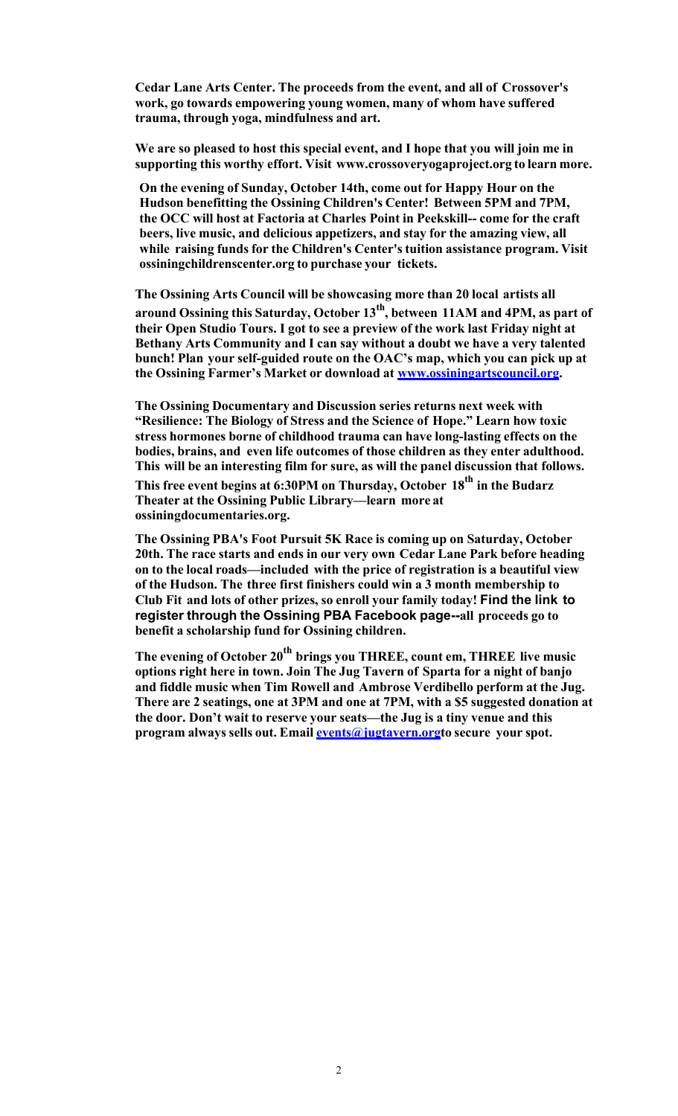**Cedar Lane Arts Center. The proceeds from the event, and all of Crossover's work, go towards empowering young women, many of whom have suffered trauma, through yoga, mindfulness and art.** 

**We are so pleased to host this special event, and I hope that you will join me in supporting this worthy effort. Visit www.crossoveryogaproject.org to learn more.** 

**On the evening of Sunday, October 14th, come out for Happy Hour on the Hudson benefitting the Ossining Children's Center! Between 5PM and 7PM, the OCC will host at Factoria at Charles Point in Peekskill-- come for the craft beers, live music, and delicious appetizers, and stay for the amazing view, all while raising funds for the Children's Center's tuition assistance program. Visit ossiningchildrenscenter.org to purchase your tickets.** 

**The Ossining Arts Council will be showcasing more than 20 local artists all** 

**around Ossining this Saturday, October 13th, between 11AM and 4PM, as part of their Open Studio Tours. I got to see a preview of the work last Friday night at Bethany Arts Community and I can say without a doubt we have a very talented bunch! Plan your self-guided route on the OAC's map, which you can pick up at the Ossining Farmer's Market or download at www.ossiningartscouncil.org.** 

**The Ossining Documentary and Discussion series returns next week with "Resilience: The Biology of Stress and the Science of Hope." Learn how toxic stress hormones borne of childhood trauma can have long-lasting effects on the bodies, brains, and even life outcomes of those children as they enter adulthood. This will be an interesting film for sure, as will the panel discussion that follows.** 

**This free event begins at 6:30PM on Thursday, October 18th in the Budarz Theater at the Ossining Public Library—learn more at ossiningdocumentaries.org.** 

**The Ossining PBA's Foot Pursuit 5K Race is coming up on Saturday, October 20th. The race starts and ends in our very own Cedar Lane Park before heading on to the local roads—included with the price of registration is a beautiful view of the Hudson. The three first finishers could win a 3 month membership to Club Fit and lots of other prizes, so enroll your family today! Find the link to register through the Ossining PBA Facebook page--all proceeds go to benefit a scholarship fund for Ossining children.** 

The evening of October 20<sup>th</sup> brings you THREE, count em, THREE live music **options right here in town. Join The Jug Tavern of Sparta for a night of banjo and fiddle music when Tim Rowell and Ambrose Verdibello perform at the Jug. There are 2 seatings, one at 3PM and one at 7PM, with a \$5 suggested donation at the door. Don't wait to reserve your seats—the Jug is a tiny venue and this program always sells out. Email events@jugtavern.orgto secure your spot.**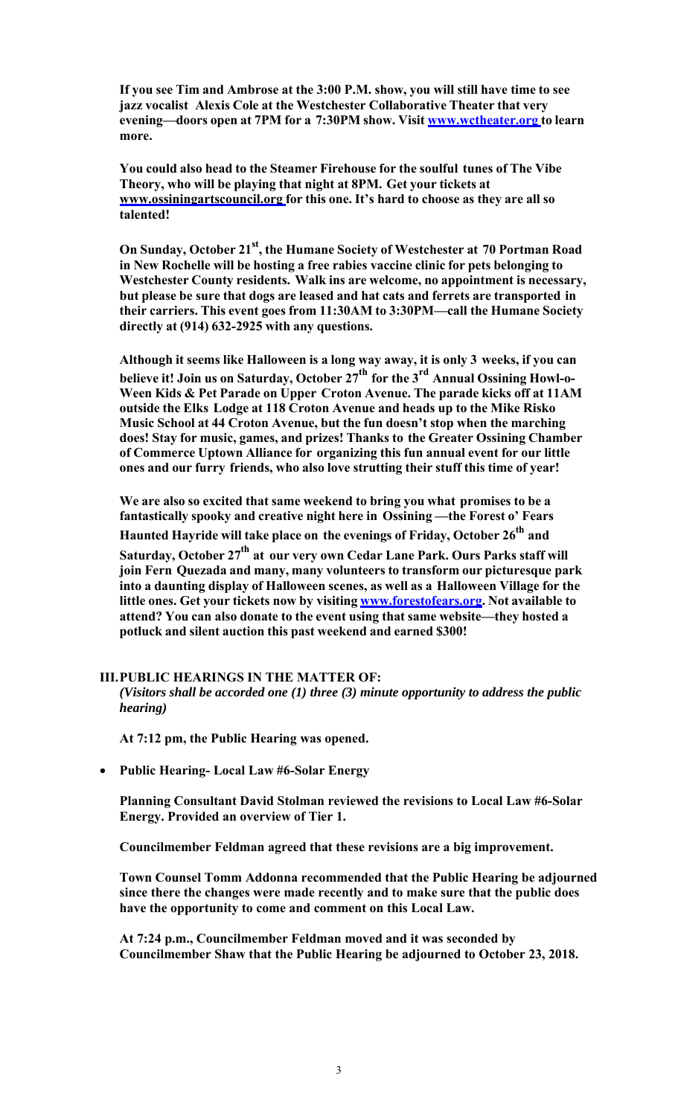**If you see Tim and Ambrose at the 3:00 P.M. show, you will still have time to see jazz vocalist Alexis Cole at the Westchester Collaborative Theater that very evening—doors open at 7PM for a 7:30PM show. Visit www.wctheater.org to learn more.** 

**You could also head to the Steamer Firehouse for the soulful tunes of The Vibe Theory, who will be playing that night at 8PM. Get your tickets at www.ossiningartscouncil.org for this one. It's hard to choose as they are all so talented!** 

**On Sunday, October 21st, the Humane Society of Westchester at 70 Portman Road in New Rochelle will be hosting a free rabies vaccine clinic for pets belonging to Westchester County residents. Walk ins are welcome, no appointment is necessary, but please be sure that dogs are leased and hat cats and ferrets are transported in their carriers. This event goes from 11:30AM to 3:30PM—call the Humane Society directly at (914) 632-2925 with any questions.** 

**Although it seems like Halloween is a long way away, it is only 3 weeks, if you can believe it! Join us on Saturday, October 27th for the 3rd Annual Ossining Howl-o-Ween Kids & Pet Parade on Upper Croton Avenue. The parade kicks off at 11AM outside the Elks Lodge at 118 Croton Avenue and heads up to the Mike Risko Music School at 44 Croton Avenue, but the fun doesn't stop when the marching does! Stay for music, games, and prizes! Thanks to the Greater Ossining Chamber of Commerce Uptown Alliance for organizing this fun annual event for our little ones and our furry friends, who also love strutting their stuff this time of year!**

**We are also so excited that same weekend to bring you what promises to be a fantastically spooky and creative night here in Ossining —the Forest o' Fears Haunted Hayride will take place on the evenings of Friday, October 26th and Saturday, October 27th at our very own Cedar Lane Park. Ours Parks staff will join Fern Quezada and many, many volunteers to transform our picturesque park into a daunting display of Halloween scenes, as well as a Halloween Village for the little ones. Get your tickets now by visiting www.forestofears.org. Not available to attend? You can also donate to the event using that same website—they hosted a potluck and silent auction this past weekend and earned \$300!** 

#### **III.PUBLIC HEARINGS IN THE MATTER OF:**

*(Visitors shall be accorded one (1) three (3) minute opportunity to address the public hearing)* 

**At 7:12 pm, the Public Hearing was opened.** 

**Public Hearing- Local Law #6-Solar Energy** 

**Planning Consultant David Stolman reviewed the revisions to Local Law #6-Solar Energy. Provided an overview of Tier 1.** 

**Councilmember Feldman agreed that these revisions are a big improvement.** 

**Town Counsel Tomm Addonna recommended that the Public Hearing be adjourned since there the changes were made recently and to make sure that the public does have the opportunity to come and comment on this Local Law.** 

**At 7:24 p.m., Councilmember Feldman moved and it was seconded by Councilmember Shaw that the Public Hearing be adjourned to October 23, 2018.**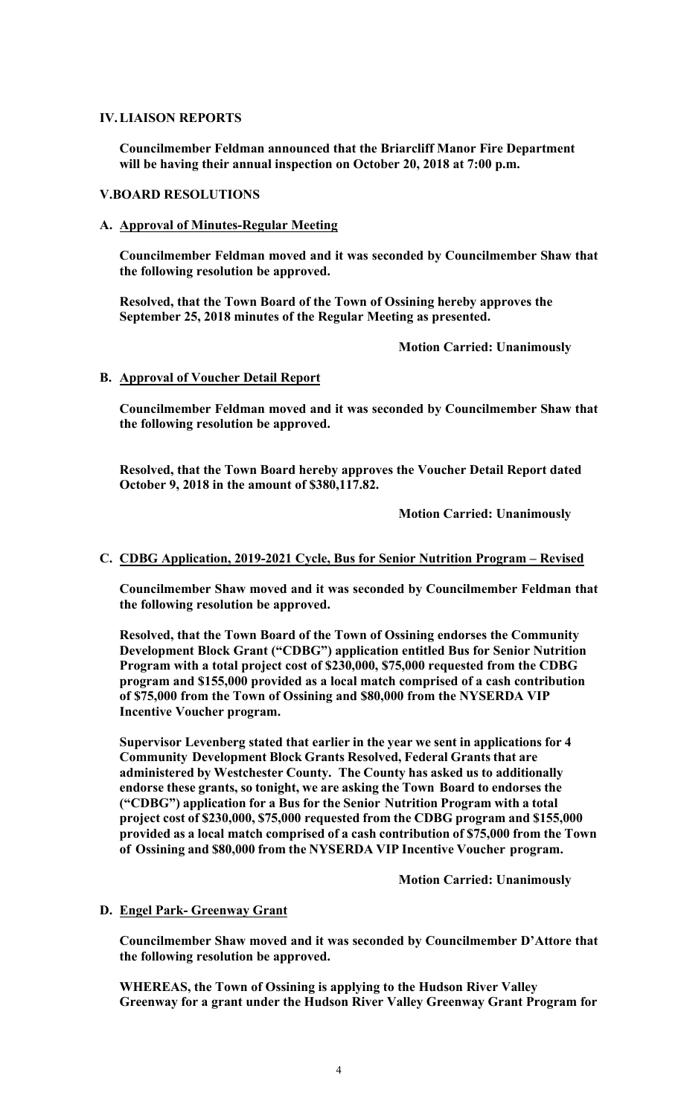# **IV.LIAISON REPORTS**

**Councilmember Feldman announced that the Briarcliff Manor Fire Department will be having their annual inspection on October 20, 2018 at 7:00 p.m.** 

#### **V.BOARD RESOLUTIONS**

**A. Approval of Minutes-Regular Meeting** 

**Councilmember Feldman moved and it was seconded by Councilmember Shaw that the following resolution be approved.** 

**Resolved, that the Town Board of the Town of Ossining hereby approves the September 25, 2018 minutes of the Regular Meeting as presented.**

 **Motion Carried: Unanimously** 

# **B. Approval of Voucher Detail Report**

**Councilmember Feldman moved and it was seconded by Councilmember Shaw that the following resolution be approved.** 

**Resolved, that the Town Board hereby approves the Voucher Detail Report dated October 9, 2018 in the amount of \$380,117.82.** 

 **Motion Carried: Unanimously** 

# **C. CDBG Application, 2019-2021 Cycle, Bus for Senior Nutrition Program – Revised**

**Councilmember Shaw moved and it was seconded by Councilmember Feldman that the following resolution be approved.** 

**Resolved, that the Town Board of the Town of Ossining endorses the Community Development Block Grant ("CDBG") application entitled Bus for Senior Nutrition Program with a total project cost of \$230,000, \$75,000 requested from the CDBG program and \$155,000 provided as a local match comprised of a cash contribution of \$75,000 from the Town of Ossining and \$80,000 from the NYSERDA VIP Incentive Voucher program.** 

**Supervisor Levenberg stated that earlier in the year we sent in applications for 4 Community Development Block Grants Resolved, Federal Grants that are administered by Westchester County. The County has asked us to additionally endorse these grants, so tonight, we are asking the Town Board to endorses the ("CDBG") application for a Bus for the Senior Nutrition Program with a total project cost of \$230,000, \$75,000 requested from the CDBG program and \$155,000 provided as a local match comprised of a cash contribution of \$75,000 from the Town of Ossining and \$80,000 from the NYSERDA VIP Incentive Voucher program.** 

 **Motion Carried: Unanimously** 

# **D. Engel Park- Greenway Grant**

**Councilmember Shaw moved and it was seconded by Councilmember D'Attore that the following resolution be approved.** 

**WHEREAS, the Town of Ossining is applying to the Hudson River Valley Greenway for a grant under the Hudson River Valley Greenway Grant Program for**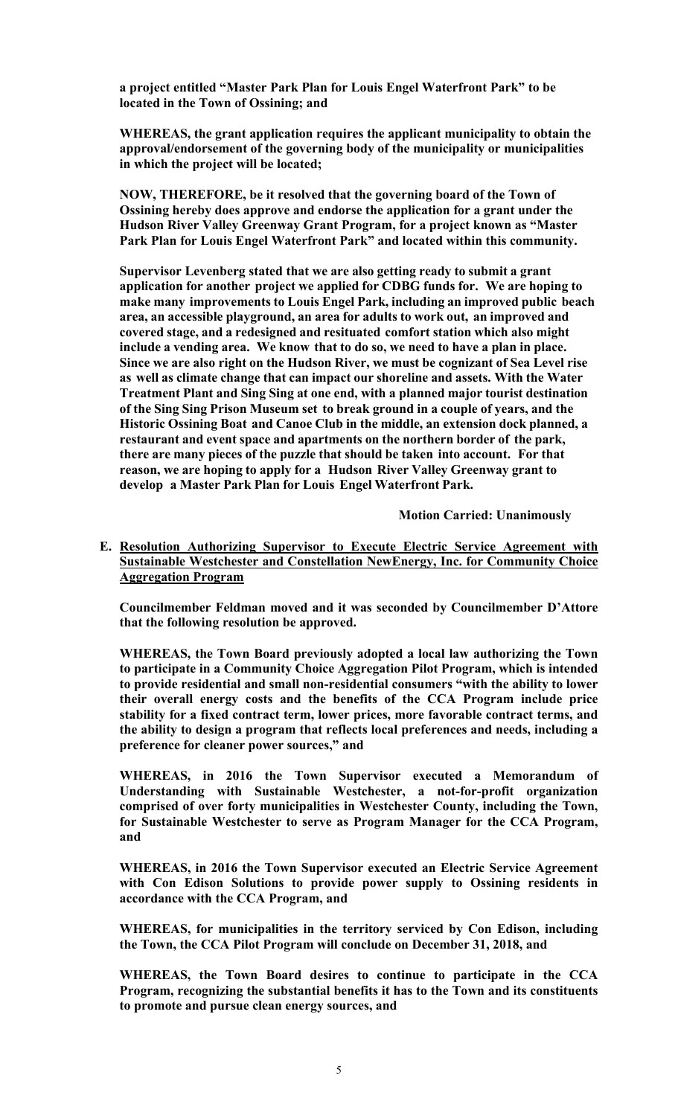**a project entitled "Master Park Plan for Louis Engel Waterfront Park" to be located in the Town of Ossining; and** 

**WHEREAS, the grant application requires the applicant municipality to obtain the approval/endorsement of the governing body of the municipality or municipalities in which the project will be located;** 

**NOW, THEREFORE, be it resolved that the governing board of the Town of Ossining hereby does approve and endorse the application for a grant under the Hudson River Valley Greenway Grant Program, for a project known as "Master Park Plan for Louis Engel Waterfront Park" and located within this community.** 

**Supervisor Levenberg stated that we are also getting ready to submit a grant application for another project we applied for CDBG funds for. We are hoping to make many improvements to Louis Engel Park, including an improved public beach area, an accessible playground, an area for adults to work out, an improved and covered stage, and a redesigned and resituated comfort station which also might include a vending area. We know that to do so, we need to have a plan in place. Since we are also right on the Hudson River, we must be cognizant of Sea Level rise as well as climate change that can impact our shoreline and assets. With the Water Treatment Plant and Sing Sing at one end, with a planned major tourist destination of the Sing Sing Prison Museum set to break ground in a couple of years, and the Historic Ossining Boat and Canoe Club in the middle, an extension dock planned, a restaurant and event space and apartments on the northern border of the park, there are many pieces of the puzzle that should be taken into account. For that reason, we are hoping to apply for a Hudson River Valley Greenway grant to develop a Master Park Plan for Louis Engel Waterfront Park.** 

 **Motion Carried: Unanimously** 

**E. Resolution Authorizing Supervisor to Execute Electric Service Agreement with Sustainable Westchester and Constellation NewEnergy, Inc. for Community Choice Aggregation Program**

**Councilmember Feldman moved and it was seconded by Councilmember D'Attore that the following resolution be approved.** 

**WHEREAS, the Town Board previously adopted a local law authorizing the Town to participate in a Community Choice Aggregation Pilot Program, which is intended to provide residential and small non-residential consumers "with the ability to lower their overall energy costs and the benefits of the CCA Program include price stability for a fixed contract term, lower prices, more favorable contract terms, and the ability to design a program that reflects local preferences and needs, including a preference for cleaner power sources," and** 

**WHEREAS, in 2016 the Town Supervisor executed a Memorandum of Understanding with Sustainable Westchester, a not-for-profit organization comprised of over forty municipalities in Westchester County, including the Town, for Sustainable Westchester to serve as Program Manager for the CCA Program, and** 

**WHEREAS, in 2016 the Town Supervisor executed an Electric Service Agreement with Con Edison Solutions to provide power supply to Ossining residents in accordance with the CCA Program, and** 

**WHEREAS, for municipalities in the territory serviced by Con Edison, including the Town, the CCA Pilot Program will conclude on December 31, 2018, and** 

**WHEREAS, the Town Board desires to continue to participate in the CCA Program, recognizing the substantial benefits it has to the Town and its constituents to promote and pursue clean energy sources, and**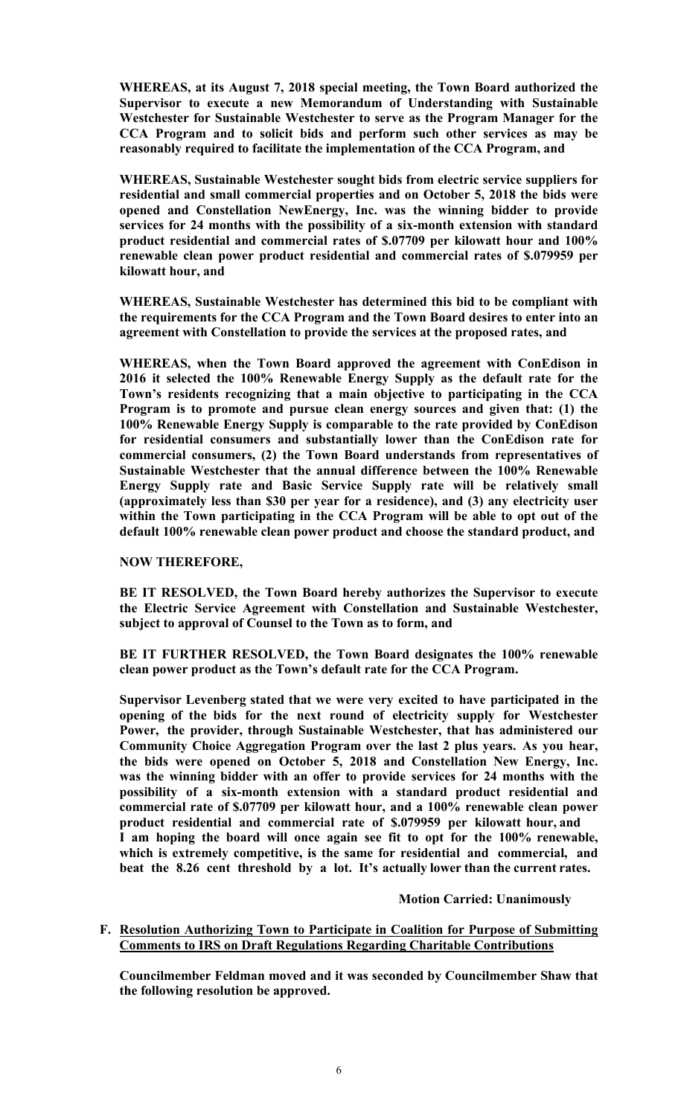**WHEREAS, at its August 7, 2018 special meeting, the Town Board authorized the Supervisor to execute a new Memorandum of Understanding with Sustainable Westchester for Sustainable Westchester to serve as the Program Manager for the CCA Program and to solicit bids and perform such other services as may be reasonably required to facilitate the implementation of the CCA Program, and** 

**WHEREAS, Sustainable Westchester sought bids from electric service suppliers for residential and small commercial properties and on October 5, 2018 the bids were opened and Constellation NewEnergy, Inc. was the winning bidder to provide services for 24 months with the possibility of a six-month extension with standard product residential and commercial rates of \$.07709 per kilowatt hour and 100% renewable clean power product residential and commercial rates of \$.079959 per kilowatt hour, and** 

**WHEREAS, Sustainable Westchester has determined this bid to be compliant with the requirements for the CCA Program and the Town Board desires to enter into an agreement with Constellation to provide the services at the proposed rates, and** 

**WHEREAS, when the Town Board approved the agreement with ConEdison in 2016 it selected the 100% Renewable Energy Supply as the default rate for the Town's residents recognizing that a main objective to participating in the CCA Program is to promote and pursue clean energy sources and given that: (1) the 100% Renewable Energy Supply is comparable to the rate provided by ConEdison for residential consumers and substantially lower than the ConEdison rate for commercial consumers, (2) the Town Board understands from representatives of Sustainable Westchester that the annual difference between the 100% Renewable Energy Supply rate and Basic Service Supply rate will be relatively small (approximately less than \$30 per year for a residence), and (3) any electricity user within the Town participating in the CCA Program will be able to opt out of the default 100% renewable clean power product and choose the standard product, and** 

# **NOW THEREFORE,**

**BE IT RESOLVED, the Town Board hereby authorizes the Supervisor to execute the Electric Service Agreement with Constellation and Sustainable Westchester, subject to approval of Counsel to the Town as to form, and** 

**BE IT FURTHER RESOLVED, the Town Board designates the 100% renewable clean power product as the Town's default rate for the CCA Program.** 

**Supervisor Levenberg stated that we were very excited to have participated in the opening of the bids for the next round of electricity supply for Westchester Power, the provider, through Sustainable Westchester, that has administered our Community Choice Aggregation Program over the last 2 plus years. As you hear, the bids were opened on October 5, 2018 and Constellation New Energy, Inc. was the winning bidder with an offer to provide services for 24 months with the possibility of a six-month extension with a standard product residential and commercial rate of \$.07709 per kilowatt hour, and a 100% renewable clean power product residential and commercial rate of \$.079959 per kilowatt hour, and I am hoping the board will once again see fit to opt for the 100% renewable, which is extremely competitive, is the same for residential and commercial, and beat the 8.26 cent threshold by a lot. It's actually lower than the current rates.** 

# **Motion Carried: Unanimously**

#### **F. Resolution Authorizing Town to Participate in Coalition for Purpose of Submitting Comments to IRS on Draft Regulations Regarding Charitable Contributions**

**Councilmember Feldman moved and it was seconded by Councilmember Shaw that the following resolution be approved.**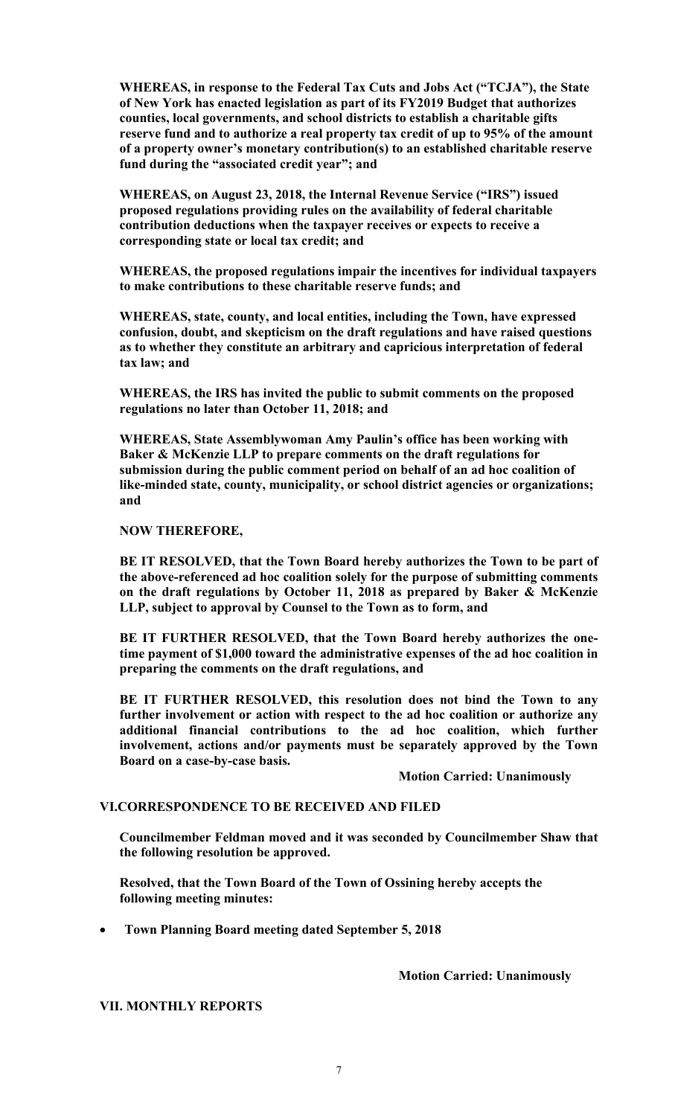**WHEREAS, in response to the Federal Tax Cuts and Jobs Act ("TCJA"), the State of New York has enacted legislation as part of its FY2019 Budget that authorizes counties, local governments, and school districts to establish a charitable gifts reserve fund and to authorize a real property tax credit of up to 95% of the amount of a property owner's monetary contribution(s) to an established charitable reserve fund during the "associated credit year"; and** 

**WHEREAS, on August 23, 2018, the Internal Revenue Service ("IRS") issued proposed regulations providing rules on the availability of federal charitable contribution deductions when the taxpayer receives or expects to receive a corresponding state or local tax credit; and** 

**WHEREAS, the proposed regulations impair the incentives for individual taxpayers to make contributions to these charitable reserve funds; and** 

**WHEREAS, state, county, and local entities, including the Town, have expressed confusion, doubt, and skepticism on the draft regulations and have raised questions as to whether they constitute an arbitrary and capricious interpretation of federal tax law; and** 

**WHEREAS, the IRS has invited the public to submit comments on the proposed regulations no later than October 11, 2018; and** 

**WHEREAS, State Assemblywoman Amy Paulin's office has been working with Baker & McKenzie LLP to prepare comments on the draft regulations for submission during the public comment period on behalf of an ad hoc coalition of like-minded state, county, municipality, or school district agencies or organizations; and** 

**NOW THEREFORE,** 

**BE IT RESOLVED, that the Town Board hereby authorizes the Town to be part of the above-referenced ad hoc coalition solely for the purpose of submitting comments on the draft regulations by October 11, 2018 as prepared by Baker & McKenzie LLP, subject to approval by Counsel to the Town as to form, and** 

**BE IT FURTHER RESOLVED, that the Town Board hereby authorizes the onetime payment of \$1,000 toward the administrative expenses of the ad hoc coalition in preparing the comments on the draft regulations, and** 

**BE IT FURTHER RESOLVED, this resolution does not bind the Town to any further involvement or action with respect to the ad hoc coalition or authorize any additional financial contributions to the ad hoc coalition, which further involvement, actions and/or payments must be separately approved by the Town Board on a case-by-case basis.** 

 **Motion Carried: Unanimously** 

#### **VI.CORRESPONDENCE TO BE RECEIVED AND FILED**

**Councilmember Feldman moved and it was seconded by Councilmember Shaw that the following resolution be approved.** 

**Resolved, that the Town Board of the Town of Ossining hereby accepts the following meeting minutes:** 

**Town Planning Board meeting dated September 5, 2018** 

 **Motion Carried: Unanimously** 

**VII. MONTHLY REPORTS**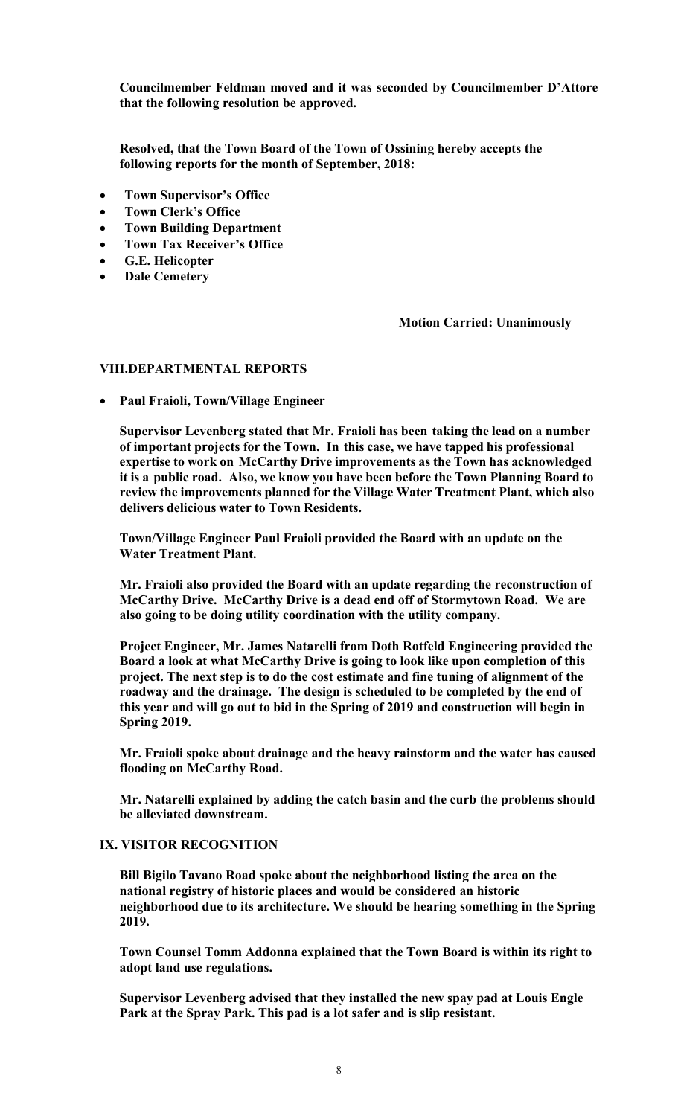**Councilmember Feldman moved and it was seconded by Councilmember D'Attore that the following resolution be approved.** 

**Resolved, that the Town Board of the Town of Ossining hereby accepts the following reports for the month of September, 2018:** 

- **Town Supervisor's Office**
- **Town Clerk's Office**
- **Town Building Department**
- **Town Tax Receiver's Office**
- **G.E. Helicopter**
- **Dale Cemetery**

 **Motion Carried: Unanimously** 

#### **VIII.DEPARTMENTAL REPORTS**

**Paul Fraioli, Town/Village Engineer** 

**Supervisor Levenberg stated that Mr. Fraioli has been taking the lead on a number of important projects for the Town. In this case, we have tapped his professional expertise to work on McCarthy Drive improvements as the Town has acknowledged it is a public road. Also, we know you have been before the Town Planning Board to review the improvements planned for the Village Water Treatment Plant, which also delivers delicious water to Town Residents.** 

**Town/Village Engineer Paul Fraioli provided the Board with an update on the Water Treatment Plant.** 

**Mr. Fraioli also provided the Board with an update regarding the reconstruction of McCarthy Drive. McCarthy Drive is a dead end off of Stormytown Road. We are also going to be doing utility coordination with the utility company.** 

**Project Engineer, Mr. James Natarelli from Doth Rotfeld Engineering provided the Board a look at what McCarthy Drive is going to look like upon completion of this project. The next step is to do the cost estimate and fine tuning of alignment of the roadway and the drainage. The design is scheduled to be completed by the end of this year and will go out to bid in the Spring of 2019 and construction will begin in Spring 2019.** 

**Mr. Fraioli spoke about drainage and the heavy rainstorm and the water has caused flooding on McCarthy Road.** 

**Mr. Natarelli explained by adding the catch basin and the curb the problems should be alleviated downstream.** 

#### **IX. VISITOR RECOGNITION**

**Bill Bigilo Tavano Road spoke about the neighborhood listing the area on the national registry of historic places and would be considered an historic neighborhood due to its architecture. We should be hearing something in the Spring 2019.** 

**Town Counsel Tomm Addonna explained that the Town Board is within its right to adopt land use regulations.** 

**Supervisor Levenberg advised that they installed the new spay pad at Louis Engle Park at the Spray Park. This pad is a lot safer and is slip resistant.**